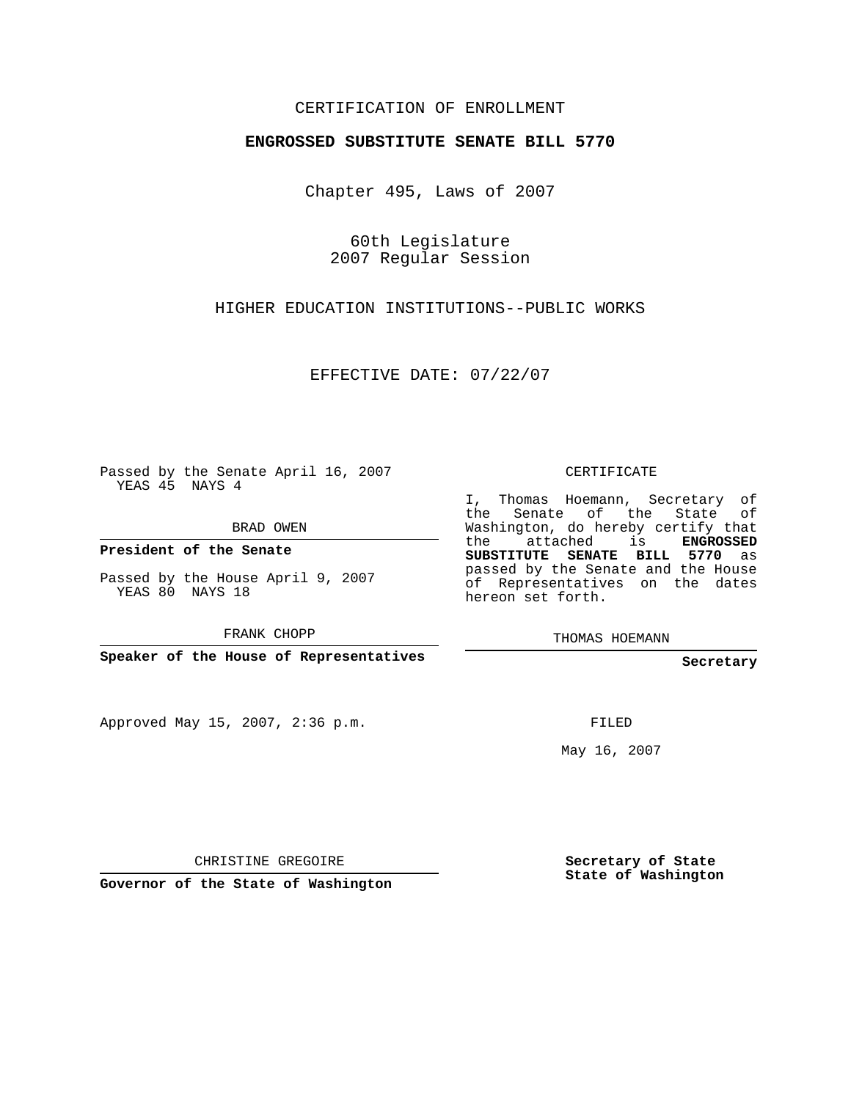## CERTIFICATION OF ENROLLMENT

## **ENGROSSED SUBSTITUTE SENATE BILL 5770**

Chapter 495, Laws of 2007

60th Legislature 2007 Regular Session

HIGHER EDUCATION INSTITUTIONS--PUBLIC WORKS

EFFECTIVE DATE: 07/22/07

Passed by the Senate April 16, 2007 YEAS 45 NAYS 4

BRAD OWEN

**President of the Senate**

Passed by the House April 9, 2007 YEAS 80 NAYS 18

FRANK CHOPP

**Speaker of the House of Representatives**

Approved May 15, 2007, 2:36 p.m.

CERTIFICATE

I, Thomas Hoemann, Secretary of the Senate of the State of Washington, do hereby certify that the attached is **ENGROSSED SUBSTITUTE SENATE BILL 5770** as passed by the Senate and the House of Representatives on the dates hereon set forth.

THOMAS HOEMANN

**Secretary**

FILED

May 16, 2007

CHRISTINE GREGOIRE

**Governor of the State of Washington**

**Secretary of State State of Washington**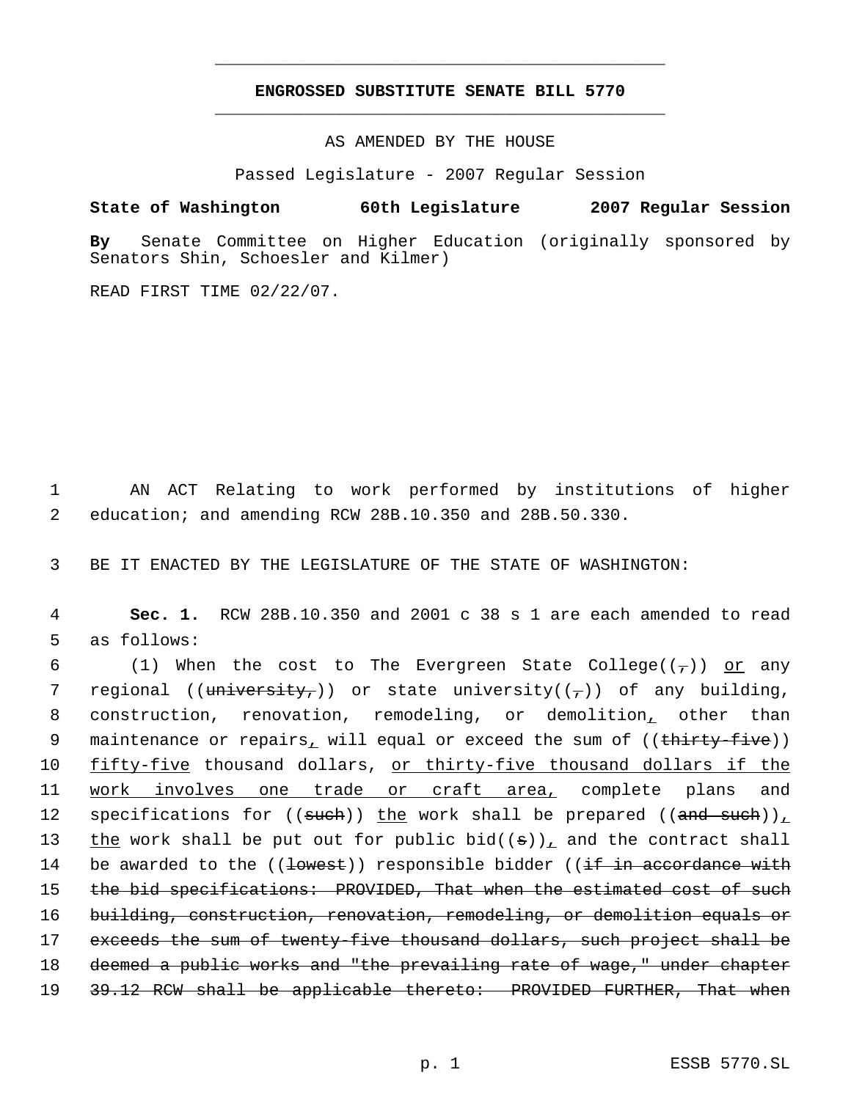## **ENGROSSED SUBSTITUTE SENATE BILL 5770** \_\_\_\_\_\_\_\_\_\_\_\_\_\_\_\_\_\_\_\_\_\_\_\_\_\_\_\_\_\_\_\_\_\_\_\_\_\_\_\_\_\_\_\_\_

\_\_\_\_\_\_\_\_\_\_\_\_\_\_\_\_\_\_\_\_\_\_\_\_\_\_\_\_\_\_\_\_\_\_\_\_\_\_\_\_\_\_\_\_\_

AS AMENDED BY THE HOUSE

Passed Legislature - 2007 Regular Session

## **State of Washington 60th Legislature 2007 Regular Session**

**By** Senate Committee on Higher Education (originally sponsored by Senators Shin, Schoesler and Kilmer)

READ FIRST TIME 02/22/07.

 1 AN ACT Relating to work performed by institutions of higher 2 education; and amending RCW 28B.10.350 and 28B.50.330.

3 BE IT ENACTED BY THE LEGISLATURE OF THE STATE OF WASHINGTON:

 4 **Sec. 1.** RCW 28B.10.350 and 2001 c 38 s 1 are each amended to read 5 as follows:

6 (1) When the cost to The Evergreen State College( $(\tau)$ ) or any 7 regional ((university,)) or state university((-)) of any building, 8 construction, renovation, remodeling, or demolition, other than 9 maintenance or repairs, will equal or exceed the sum of ((<del>thirty-five</del>)) 10 fifty-five thousand dollars, or thirty-five thousand dollars if the 11 work involves one trade or craft area, complete plans and 12 specifications for  $((\text{such}))$  the work shall be prepared  $((\text{and such}))_L$ 13 the work shall be put out for public bid( $(\theta)$ ), and the contract shall 14 be awarded to the ((<del>lowest</del>)) responsible bidder ((if in accordance with 15 the bid specifications: PROVIDED, That when the estimated cost of such 16 building, construction, renovation, remodeling, or demolition equals or 17 exceeds the sum of twenty-five thousand dollars, such project shall be 18 deemed a public works and "the prevailing rate of wage," under chapter 19 3<del>9.12 RCW shall be applicable thereto: PROVIDED FURTHER, That when</del>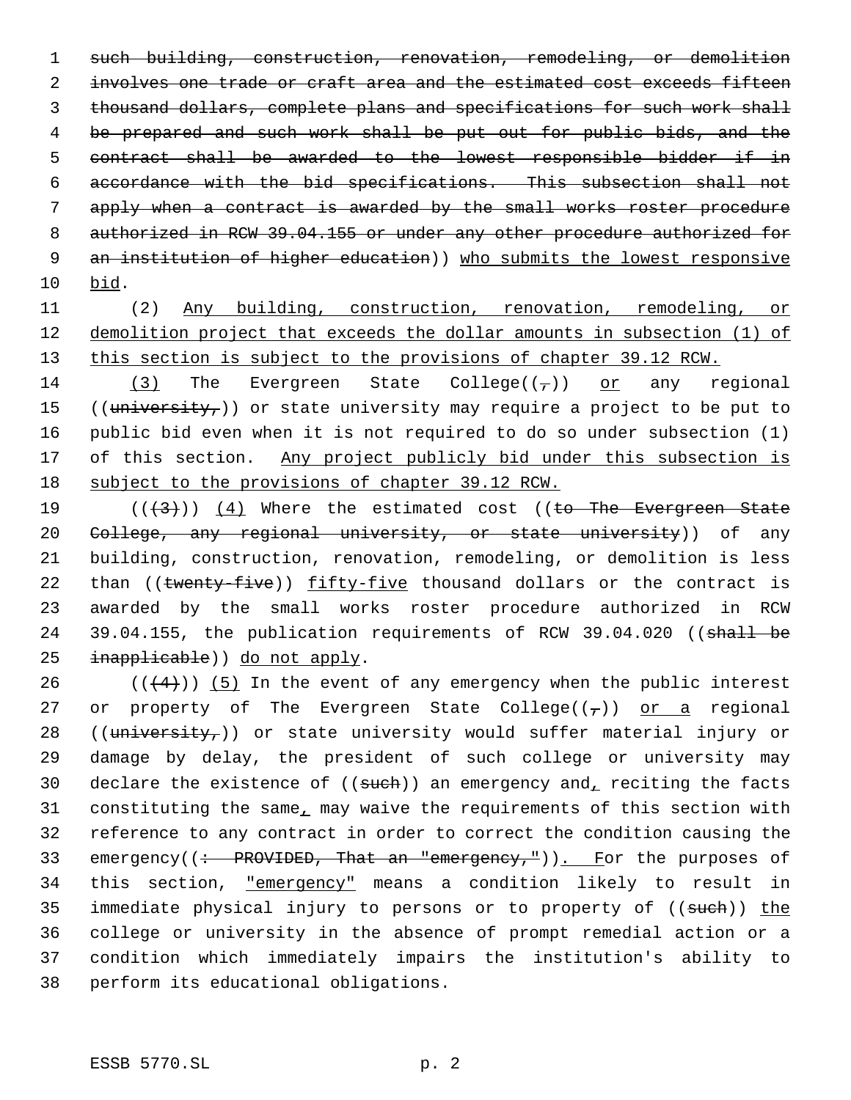1 such building, construction, renovation, remodeling, or demolition 2 involves one trade or craft area and the estimated cost exceeds fifteen 3 thousand dollars, complete plans and specifications for such work shall 4 be prepared and such work shall be put out for public bids, and the 5 contract shall be awarded to the lowest responsible bidder if in 6 accordance with the bid specifications. This subsection shall not 7 apply when a contract is awarded by the small works roster procedure 8 authorized in RCW 39.04.155 or under any other procedure authorized for 9 an institution of higher education)) who submits the lowest responsive 10 bid.

11 (2) Any building, construction, renovation, remodeling, or 12 demolition project that exceeds the dollar amounts in subsection (1) of 13 this section is subject to the provisions of chapter 39.12 RCW.

14 (3) The Evergreen State College( $(\tau)$ ) or any regional 15 ((university,)) or state university may require a project to be put to 16 public bid even when it is not required to do so under subsection (1) 17 of this section. Any project publicly bid under this subsection is 18 subject to the provisions of chapter 39.12 RCW.

19  $((+3))$   $(4)$  Where the estimated cost ((to The Evergreen State 20 College, any regional university, or state university)) of any 21 building, construction, renovation, remodeling, or demolition is less 22 than ((twenty-five)) fifty-five thousand dollars or the contract is 23 awarded by the small works roster procedure authorized in RCW 24 39.04.155, the publication requirements of RCW 39.04.020 ((shall be 25 inapplicable) do not apply.

26  $((+4))$  (5) In the event of any emergency when the public interest 27 or property of The Evergreen State College( $(\tau)$ ) or a regional 28 (( $university<sub>r</sub>$ )) or state university would suffer material injury or 29 damage by delay, the president of such college or university may 30 declare the existence of  $((such))$  an emergency and, reciting the facts 31 constituting the same, may waive the requirements of this section with 32 reference to any contract in order to correct the condition causing the 33 emergency( $\left(\div\right)$ PROVIDED, That an "emergency,")). For the purposes of 34 this section, "emergency" means a condition likely to result in 35 immediate physical injury to persons or to property of ((such)) the 36 college or university in the absence of prompt remedial action or a 37 condition which immediately impairs the institution's ability to 38 perform its educational obligations.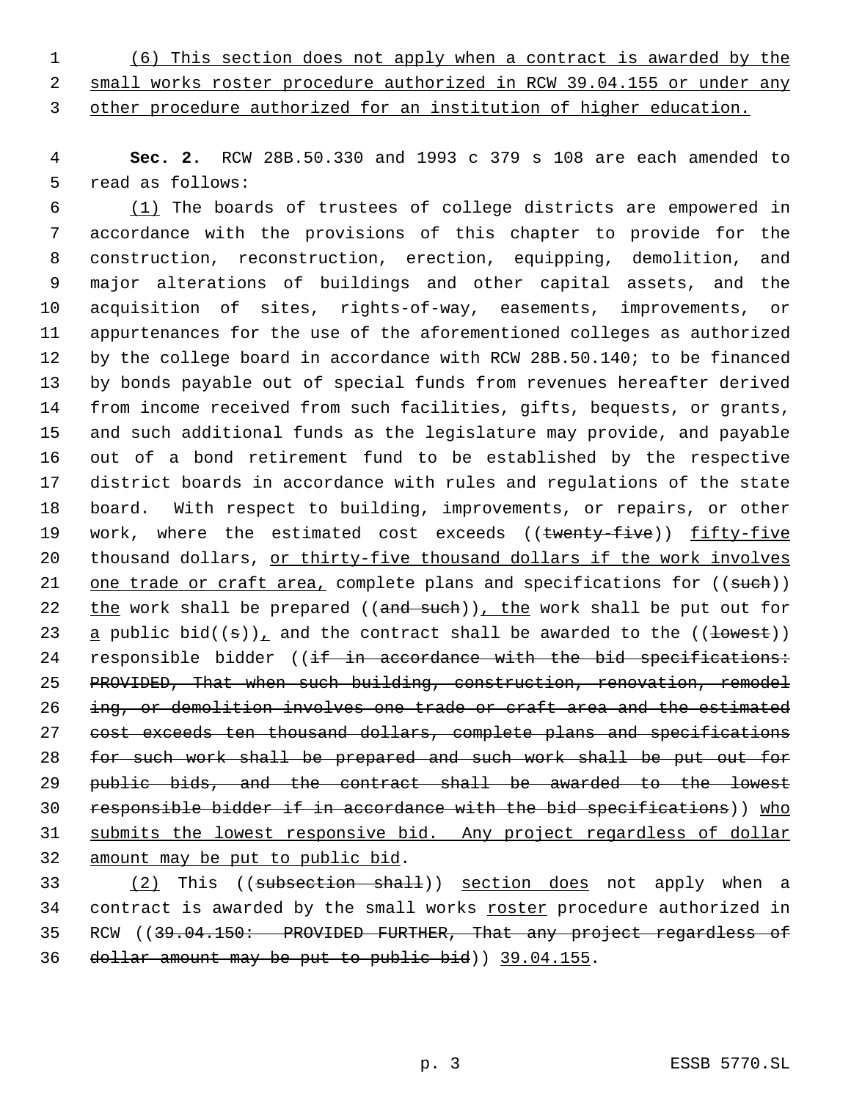(6) This section does not apply when a contract is awarded by the

 small works roster procedure authorized in RCW 39.04.155 or under any other procedure authorized for an institution of higher education.

 **Sec. 2.** RCW 28B.50.330 and 1993 c 379 s 108 are each amended to read as follows:

 (1) The boards of trustees of college districts are empowered in accordance with the provisions of this chapter to provide for the construction, reconstruction, erection, equipping, demolition, and major alterations of buildings and other capital assets, and the acquisition of sites, rights-of-way, easements, improvements, or appurtenances for the use of the aforementioned colleges as authorized by the college board in accordance with RCW 28B.50.140; to be financed by bonds payable out of special funds from revenues hereafter derived from income received from such facilities, gifts, bequests, or grants, and such additional funds as the legislature may provide, and payable out of a bond retirement fund to be established by the respective district boards in accordance with rules and regulations of the state board. With respect to building, improvements, or repairs, or other 19 work, where the estimated cost exceeds ((twenty-five)) fifty-five thousand dollars, or thirty-five thousand dollars if the work involves 21 one trade or craft area, complete plans and specifications for ((such)) 22 the work shall be prepared ((and such)), the work shall be put out for 23 a public bid( $(\pm)$ ), and the contract shall be awarded to the ( $(\pm$ owest)) 24 responsible bidder  $((if in accordance with the bid specification):$  PROVIDED, That when such building, construction, renovation, remodel 26 ing, or demolition involves one trade or craft area and the estimated cost exceeds ten thousand dollars, complete plans and specifications for such work shall be prepared and such work shall be put out for public bids, and the contract shall be awarded to the lowest responsible bidder if in accordance with the bid specifications)) who submits the lowest responsive bid. Any project regardless of dollar amount may be put to public bid.

33 (2) This ((subsection shall)) section does not apply when a 34 contract is awarded by the small works roster procedure authorized in 35 RCW ((39.04.150: PROVIDED FURTHER, That any project regardless of dollar amount may be put to public bid)) 39.04.155.